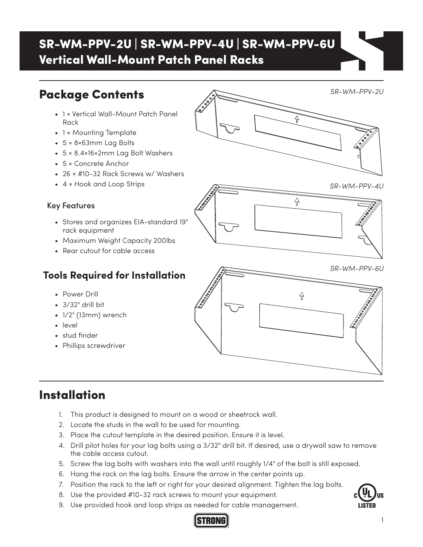# SR-WM-PPV-2U | SR-WM-PPV-4U | SR-WM-PPV-6U Vertical Wall-Mount Patch Panel Racks

## Package Contents

- 1 × Vertical Wall-Mount Patch Panel Rack
- 1 × Mounting Template
- 5 × 8×63mm Lag Bolts
- 5 × 8.4×16×2mm Lag Bolt Washers
- 5 × Concrete Anchor
- 26 × #10-32 Rack Screws w/ Washers
- 4 × Hook and Loop Strips

#### Key Features

- Stores and organizes EIA-standard 19" rack equipment
- Maximum Weight Capacity 200lbs
- Rear cutout for cable access

#### **Tools Required for Installation**

- Power Drill
- 3/32" drill bit
- 1/2" (13mm) wrench
- level
- stud finder
- Phillips screwdriver

### Installation

- 1. This product is designed to mount on a wood or sheetrock wall.
- 2. Locate the studs in the wall to be used for mounting.
- 3. Place the cutout template in the desired position. Ensure it is level.
- 4. Drill pilot holes for your lag bolts using a 3/32" drill bit. If desired, use a drywall saw to remove the cable access cutout.
- 5. Screw the lag bolts with washers into the wall until roughly 1/4" of the bolt is still exposed.
- 6. Hang the rack on the lag bolts. Ensure the arrow in the center points up.
- 7. Position the rack to the left or right for your desired alignment. Tighten the lag bolts.
- 8. Use the provided #10-32 rack screws to mount your equipment.
- 9. Use provided hook and loop strips as needed for cable management.







*SR-WM-PPV-2U*



₩